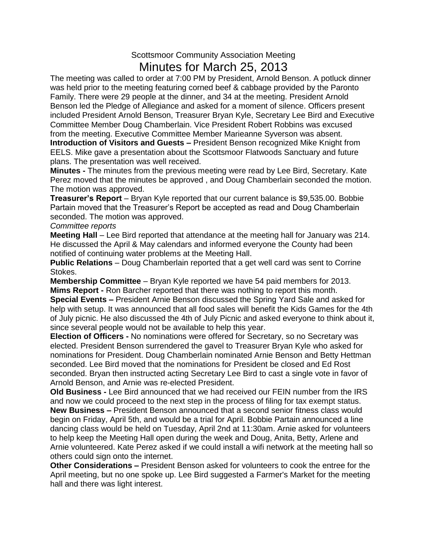## Scottsmoor Community Association Meeting Minutes for March 25, 2013

The meeting was called to order at 7:00 PM by President, Arnold Benson. A potluck dinner was held prior to the meeting featuring corned beef & cabbage provided by the Paronto Family. There were 29 people at the dinner, and 34 at the meeting. President Arnold Benson led the Pledge of Allegiance and asked for a moment of silence. Officers present included President Arnold Benson, Treasurer Bryan Kyle, Secretary Lee Bird and Executive Committee Member Doug Chamberlain. Vice President Robert Robbins was excused from the meeting. Executive Committee Member Marieanne Syverson was absent. **Introduction of Visitors and Guests –** President Benson recognized Mike Knight from

EELS. Mike gave a presentation about the Scottsmoor Flatwoods Sanctuary and future plans. The presentation was well received.

**Minutes -** The minutes from the previous meeting were read by Lee Bird, Secretary. Kate Perez moved that the minutes be approved , and Doug Chamberlain seconded the motion. The motion was approved.

**Treasurer's Report** – Bryan Kyle reported that our current balance is \$9,535.00. Bobbie Partain moved that the Treasurer's Report be accepted as read and Doug Chamberlain seconded. The motion was approved.

## *Committee reports*

**Meeting Hall** – Lee Bird reported that attendance at the meeting hall for January was 214. He discussed the April & May calendars and informed everyone the County had been notified of continuing water problems at the Meeting Hall.

**Public Relations** – Doug Chamberlain reported that a get well card was sent to Corrine Stokes.

**Membership Committee** – Bryan Kyle reported we have 54 paid members for 2013. **Mims Report -** Ron Barcher reported that there was nothing to report this month.

**Special Events –** President Arnie Benson discussed the Spring Yard Sale and asked for help with setup. It was announced that all food sales will benefit the Kids Games for the 4th of July picnic. He also discussed the 4th of July Picnic and asked everyone to think about it, since several people would not be available to help this year.

**Election of Officers -** No nominations were offered for Secretary, so no Secretary was elected. President Benson surrendered the gavel to Treasurer Bryan Kyle who asked for nominations for President. Doug Chamberlain nominated Arnie Benson and Betty Hettman seconded. Lee Bird moved that the nominations for President be closed and Ed Rost seconded. Bryan then instructed acting Secretary Lee Bird to cast a single vote in favor of Arnold Benson, and Arnie was re-elected President.

**Old Business -** Lee Bird announced that we had received our FEIN number from the IRS and now we could proceed to the next step in the process of filing for tax exempt status. **New Business –** President Benson announced that a second senior fitness class would begin on Friday, April 5th, and would be a trial for April. Bobbie Partain announced a line dancing class would be held on Tuesday, April 2nd at 11:30am. Arnie asked for volunteers to help keep the Meeting Hall open during the week and Doug, Anita, Betty, Arlene and Arnie volunteered. Kate Perez asked if we could install a wifi network at the meeting hall so others could sign onto the internet.

**Other Considerations –** President Benson asked for volunteers to cook the entree for the April meeting, but no one spoke up. Lee Bird suggested a Farmer's Market for the meeting hall and there was light interest.